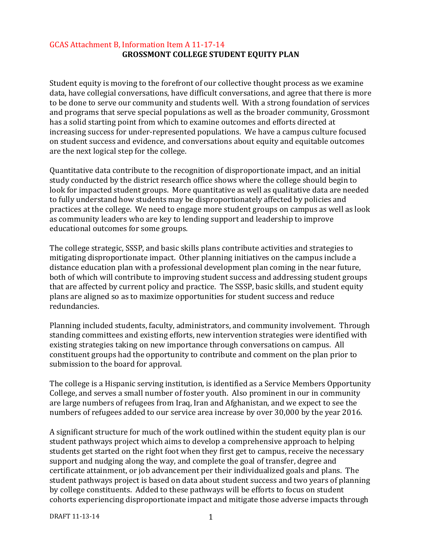### GCAS Attachment B, Information Item A 11-17-14 **GROSSMONT COLLEGE STUDENT EQUITY PLAN**

Student equity is moving to the forefront of our collective thought process as we examine data, have collegial conversations, have difficult conversations, and agree that there is more to be done to serve our community and students well. With a strong foundation of services and programs that serve special populations as well as the broader community, Grossmont has a solid starting point from which to examine outcomes and efforts directed at increasing success for under-represented populations. We have a campus culture focused on student success and evidence, and conversations about equity and equitable outcomes are the next logical step for the college.

Quantitative data contribute to the recognition of disproportionate impact, and an initial study conducted by the district research office shows where the college should begin to look for impacted student groups. More quantitative as well as qualitative data are needed to fully understand how students may be disproportionately affected by policies and practices at the college. We need to engage more student groups on campus as well as look as community leaders who are key to lending support and leadership to improve educational outcomes for some groups.

The college strategic, SSSP, and basic skills plans contribute activities and strategies to mitigating disproportionate impact. Other planning initiatives on the campus include a distance education plan with a professional development plan coming in the near future, both of which will contribute to improving student success and addressing student groups that are affected by current policy and practice. The SSSP, basic skills, and student equity plans are aligned so as to maximize opportunities for student success and reduce redundancies.

Planning included students, faculty, administrators, and community involvement. Through standing committees and existing efforts, new intervention strategies were identified with existing strategies taking on new importance through conversations on campus. All constituent groups had the opportunity to contribute and comment on the plan prior to submission to the board for approval.

The college is a Hispanic serving institution, is identified as a Service Members Opportunity College, and serves a small number of foster youth. Also prominent in our in community are large numbers of refugees from Iraq, Iran and Afghanistan, and we expect to see the numbers of refugees added to our service area increase by over 30,000 by the year 2016.

A significant structure for much of the work outlined within the student equity plan is our student pathways project which aims to develop a comprehensive approach to helping students get started on the right foot when they first get to campus, receive the necessary support and nudging along the way, and complete the goal of transfer, degree and certificate attainment, or job advancement per their individualized goals and plans. The student pathways project is based on data about student success and two years of planning by college constituents. Added to these pathways will be efforts to focus on student cohorts experiencing disproportionate impact and mitigate those adverse impacts through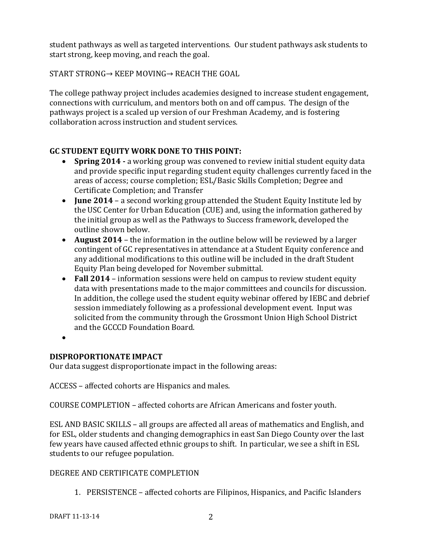student pathways as well as targeted interventions. Our student pathways ask students to start strong, keep moving, and reach the goal.

START STRONG→ KEEP MOVING→ REACH THE GOAL

The college pathway project includes academies designed to increase student engagement, connections with curriculum, and mentors both on and off campus. The design of the pathways project is a scaled up version of our Freshman Academy, and is fostering collaboration across instruction and student services.

# **GC STUDENT EQUITY WORK DONE TO THIS POINT:**

- **Spring 2014 -** a working group was convened to review initial student equity data and provide specific input regarding student equity challenges currently faced in the areas of access; course completion; ESL/Basic Skills Completion; Degree and Certificate Completion; and Transfer
- **June 2014** a second working group attended the Student Equity Institute led by the USC Center for Urban Education (CUE) and, using the information gathered by the initial group as well as the Pathways to Success framework, developed the outline shown below.
- **August 2014** the information in the outline below will be reviewed by a larger contingent of GC representatives in attendance at a Student Equity conference and any additional modifications to this outline will be included in the draft Student Equity Plan being developed for November submittal.
- **Fall 2014** information sessions were held on campus to review student equity data with presentations made to the major committees and councils for discussion. In addition, the college used the student equity webinar offered by IEBC and debrief session immediately following as a professional development event. Input was solicited from the community through the Grossmont Union High School District and the GCCCD Foundation Board.
- •

## **DISPROPORTIONATE IMPACT**

Our data suggest disproportionate impact in the following areas:

ACCESS – affected cohorts are Hispanics and males.

COURSE COMPLETION – affected cohorts are African Americans and foster youth.

ESL AND BASIC SKILLS – all groups are affected all areas of mathematics and English, and for ESL, older students and changing demographics in east San Diego County over the last few years have caused affected ethnic groups to shift. In particular, we see a shift in ESL students to our refugee population.

# DEGREE AND CERTIFICATE COMPLETION

1. PERSISTENCE – affected cohorts are Filipinos, Hispanics, and Pacific Islanders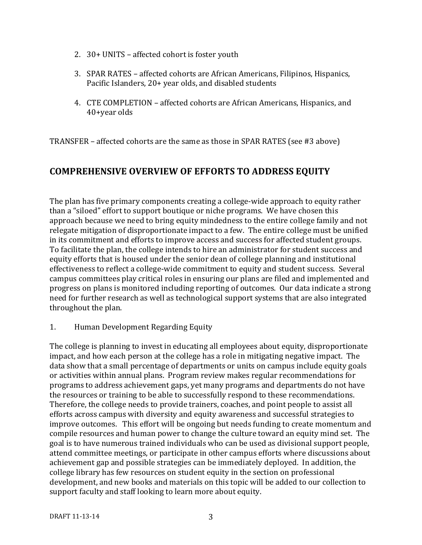- 2. 30+ UNITS affected cohort is foster youth
- 3. SPAR RATES affected cohorts are African Americans, Filipinos, Hispanics, Pacific Islanders, 20+ year olds, and disabled students
- 4. CTE COMPLETION affected cohorts are African Americans, Hispanics, and 40+year olds

TRANSFER – affected cohorts are the same as those in SPAR RATES (see #3 above)

# **COMPREHENSIVE OVERVIEW OF EFFORTS TO ADDRESS EQUITY**

The plan has five primary components creating a college-wide approach to equity rather than a "siloed" effort to support boutique or niche programs. We have chosen this approach because we need to bring equity mindedness to the entire college family and not relegate mitigation of disproportionate impact to a few. The entire college must be unified in its commitment and efforts to improve access and success for affected student groups. To facilitate the plan, the college intends to hire an administrator for student success and equity efforts that is housed under the senior dean of college planning and institutional effectiveness to reflect a college-wide commitment to equity and student success. Several campus committees play critical roles in ensuring our plans are filed and implemented and progress on plans is monitored including reporting of outcomes. Our data indicate a strong need for further research as well as technological support systems that are also integrated throughout the plan.

#### 1. Human Development Regarding Equity

The college is planning to invest in educating all employees about equity, disproportionate impact, and how each person at the college has a role in mitigating negative impact. The data show that a small percentage of departments or units on campus include equity goals or activities within annual plans. Program review makes regular recommendations for programs to address achievement gaps, yet many programs and departments do not have the resources or training to be able to successfully respond to these recommendations. Therefore, the college needs to provide trainers, coaches, and point people to assist all efforts across campus with diversity and equity awareness and successful strategies to improve outcomes. This effort will be ongoing but needs funding to create momentum and compile resources and human power to change the culture toward an equity mind set. The goal is to have numerous trained individuals who can be used as divisional support people, attend committee meetings, or participate in other campus efforts where discussions about achievement gap and possible strategies can be immediately deployed. In addition, the college library has few resources on student equity in the section on professional development, and new books and materials on this topic will be added to our collection to support faculty and staff looking to learn more about equity.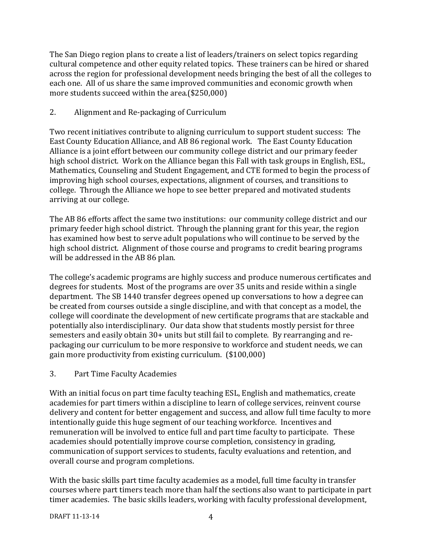The San Diego region plans to create a list of leaders/trainers on select topics regarding cultural competence and other equity related topics. These trainers can be hired or shared across the region for professional development needs bringing the best of all the colleges to each one. All of us share the same improved communities and economic growth when more students succeed within the area.(\$250,000)

## 2. Alignment and Re-packaging of Curriculum

Two recent initiatives contribute to aligning curriculum to support student success: The East County Education Alliance, and AB 86 regional work. The East County Education Alliance is a joint effort between our community college district and our primary feeder high school district. Work on the Alliance began this Fall with task groups in English, ESL, Mathematics, Counseling and Student Engagement, and CTE formed to begin the process of improving high school courses, expectations, alignment of courses, and transitions to college. Through the Alliance we hope to see better prepared and motivated students arriving at our college.

The AB 86 efforts affect the same two institutions: our community college district and our primary feeder high school district. Through the planning grant for this year, the region has examined how best to serve adult populations who will continue to be served by the high school district. Alignment of those course and programs to credit bearing programs will be addressed in the AB 86 plan.

The college's academic programs are highly success and produce numerous certificates and degrees for students. Most of the programs are over 35 units and reside within a single department. The SB 1440 transfer degrees opened up conversations to how a degree can be created from courses outside a single discipline, and with that concept as a model, the college will coordinate the development of new certificate programs that are stackable and potentially also interdisciplinary. Our data show that students mostly persist for three semesters and easily obtain 30+ units but still fail to complete. By rearranging and repackaging our curriculum to be more responsive to workforce and student needs, we can gain more productivity from existing curriculum. (\$100,000)

## 3. Part Time Faculty Academies

With an initial focus on part time faculty teaching ESL, English and mathematics, create academies for part timers within a discipline to learn of college services, reinvent course delivery and content for better engagement and success, and allow full time faculty to more intentionally guide this huge segment of our teaching workforce. Incentives and remuneration will be involved to entice full and part time faculty to participate. These academies should potentially improve course completion, consistency in grading, communication of support services to students, faculty evaluations and retention, and overall course and program completions.

With the basic skills part time faculty academies as a model, full time faculty in transfer courses where part timers teach more than half the sections also want to participate in part timer academies. The basic skills leaders, working with faculty professional development,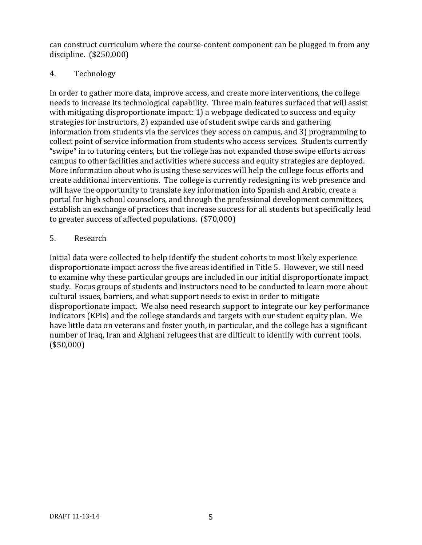can construct curriculum where the course-content component can be plugged in from any discipline. (\$250,000)

### 4. Technology

In order to gather more data, improve access, and create more interventions, the college needs to increase its technological capability. Three main features surfaced that will assist with mitigating disproportionate impact: 1) a webpage dedicated to success and equity strategies for instructors, 2) expanded use of student swipe cards and gathering information from students via the services they access on campus, and 3) programming to collect point of service information from students who access services. Students currently "swipe" in to tutoring centers, but the college has not expanded those swipe efforts across campus to other facilities and activities where success and equity strategies are deployed. More information about who is using these services will help the college focus efforts and create additional interventions. The college is currently redesigning its web presence and will have the opportunity to translate key information into Spanish and Arabic, create a portal for high school counselors, and through the professional development committees, establish an exchange of practices that increase success for all students but specifically lead to greater success of affected populations. (\$70,000)

### 5. Research

Initial data were collected to help identify the student cohorts to most likely experience disproportionate impact across the five areas identified in Title 5. However, we still need to examine why these particular groups are included in our initial disproportionate impact study. Focus groups of students and instructors need to be conducted to learn more about cultural issues, barriers, and what support needs to exist in order to mitigate disproportionate impact. We also need research support to integrate our key performance indicators (KPIs) and the college standards and targets with our student equity plan. We have little data on veterans and foster youth, in particular, and the college has a significant number of Iraq, Iran and Afghani refugees that are difficult to identify with current tools. (\$50,000)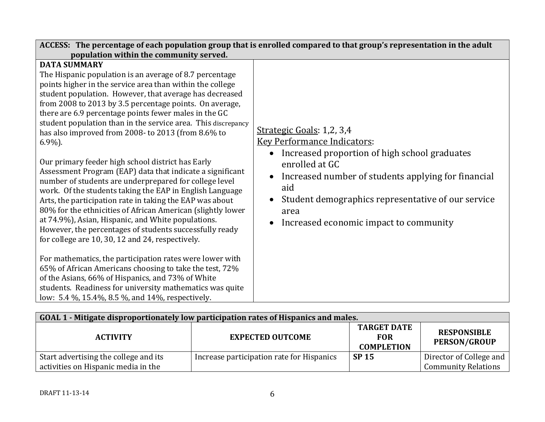| ACCESS: The percentage of each population group that is enrolled compared to that group's representation in the adult                                                                                                                                                                                                                                                                                                                                                                                                                                                                                                                                                                                                                                                                                                                                                                                                                                                                                                                                                                                                                                                                                                                                                                                                                          |                                                                                                                                                                                                                                                                                                          |  |  |
|------------------------------------------------------------------------------------------------------------------------------------------------------------------------------------------------------------------------------------------------------------------------------------------------------------------------------------------------------------------------------------------------------------------------------------------------------------------------------------------------------------------------------------------------------------------------------------------------------------------------------------------------------------------------------------------------------------------------------------------------------------------------------------------------------------------------------------------------------------------------------------------------------------------------------------------------------------------------------------------------------------------------------------------------------------------------------------------------------------------------------------------------------------------------------------------------------------------------------------------------------------------------------------------------------------------------------------------------|----------------------------------------------------------------------------------------------------------------------------------------------------------------------------------------------------------------------------------------------------------------------------------------------------------|--|--|
| population within the community served.<br><b>DATA SUMMARY</b><br>The Hispanic population is an average of 8.7 percentage<br>points higher in the service area than within the college<br>student population. However, that average has decreased<br>from 2008 to 2013 by 3.5 percentage points. On average,<br>there are 6.9 percentage points fewer males in the GC<br>student population than in the service area. This discrepancy<br>has also improved from 2008- to 2013 (from 8.6% to<br>$6.9\%$ ).<br>Our primary feeder high school district has Early<br>Assessment Program (EAP) data that indicate a significant<br>number of students are underprepared for college level<br>work. Of the students taking the EAP in English Language<br>Arts, the participation rate in taking the EAP was about<br>80% for the ethnicities of African American (slightly lower<br>at 74.9%), Asian, Hispanic, and White populations.<br>However, the percentages of students successfully ready<br>for college are 10, 30, 12 and 24, respectively.<br>For mathematics, the participation rates were lower with<br>65% of African Americans choosing to take the test, 72%<br>of the Asians, 66% of Hispanics, and 73% of White<br>students. Readiness for university mathematics was quite<br>low: 5.4 %, 15.4%, 8.5 %, and 14%, respectively. | Strategic Goals: 1,2, 3,4<br><b>Key Performance Indicators:</b><br>Increased proportion of high school graduates<br>enrolled at GC<br>Increased number of students applying for financial<br>aid<br>Student demographics representative of our service<br>area<br>Increased economic impact to community |  |  |

| GOAL 1 - Mitigate disproportionately low participation rates of Hispanics and males. |                                           |                                           |                                                       |  |
|--------------------------------------------------------------------------------------|-------------------------------------------|-------------------------------------------|-------------------------------------------------------|--|
| <b>ACTIVITY</b>                                                                      | <b>EXPECTED OUTCOME</b>                   | <b>RESPONSIBLE</b><br><b>PERSON/GROUP</b> |                                                       |  |
| Start advertising the college and its<br>activities on Hispanic media in the         | Increase participation rate for Hispanics | <b>SP 15</b>                              | Director of College and<br><b>Community Relations</b> |  |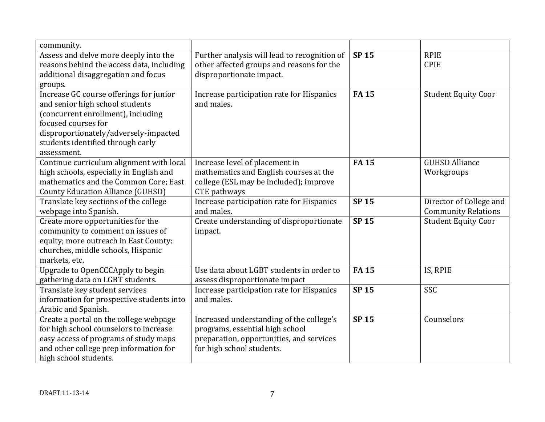| community.                                                                                                                                                                                                                           |                                                                                                                                                      |              |                                                       |
|--------------------------------------------------------------------------------------------------------------------------------------------------------------------------------------------------------------------------------------|------------------------------------------------------------------------------------------------------------------------------------------------------|--------------|-------------------------------------------------------|
| Assess and delve more deeply into the<br>reasons behind the access data, including<br>additional disaggregation and focus<br>groups.                                                                                                 | Further analysis will lead to recognition of<br>other affected groups and reasons for the<br>disproportionate impact.                                | <b>SP15</b>  | <b>RPIE</b><br><b>CPIE</b>                            |
| Increase GC course offerings for junior<br>and senior high school students<br>(concurrent enrollment), including<br>focused courses for<br>disproportionately/adversely-impacted<br>students identified through early<br>assessment. | Increase participation rate for Hispanics<br>and males.                                                                                              | <b>FA15</b>  | <b>Student Equity Coor</b>                            |
| Continue curriculum alignment with local<br>high schools, especially in English and<br>mathematics and the Common Core; East<br><b>County Education Alliance (GUHSD)</b>                                                             | Increase level of placement in<br>mathematics and English courses at the<br>college (ESL may be included); improve<br>CTE pathways                   | <b>FA15</b>  | <b>GUHSD Alliance</b><br>Workgroups                   |
| Translate key sections of the college<br>webpage into Spanish.                                                                                                                                                                       | Increase participation rate for Hispanics<br>and males.                                                                                              | <b>SP15</b>  | Director of College and<br><b>Community Relations</b> |
| Create more opportunities for the<br>community to comment on issues of<br>equity; more outreach in East County:<br>churches, middle schools, Hispanic<br>markets, etc.                                                               | Create understanding of disproportionate<br>impact.                                                                                                  | <b>SP15</b>  | <b>Student Equity Coor</b>                            |
| Upgrade to OpenCCCApply to begin<br>gathering data on LGBT students.                                                                                                                                                                 | Use data about LGBT students in order to<br>assess disproportionate impact                                                                           | <b>FA15</b>  | IS, RPIE                                              |
| Translate key student services<br>information for prospective students into<br>Arabic and Spanish.                                                                                                                                   | Increase participation rate for Hispanics<br>and males.                                                                                              | <b>SP15</b>  | SSC                                                   |
| Create a portal on the college webpage<br>for high school counselors to increase<br>easy access of programs of study maps<br>and other college prep information for<br>high school students.                                         | Increased understanding of the college's<br>programs, essential high school<br>preparation, opportunities, and services<br>for high school students. | <b>SP 15</b> | Counselors                                            |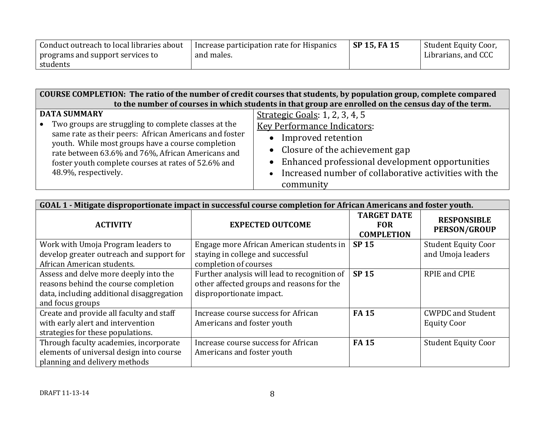| Conduct outreach to local libraries about | Increase participation rate for Hispanics | SP 15, FA 15 | Student Equity Coor, |
|-------------------------------------------|-------------------------------------------|--------------|----------------------|
| programs and support services to          | and males.                                |              | Librarians, and CCC  |
| students                                  |                                           |              |                      |

**COURSE COMPLETION: The ratio of the number of credit courses that students, by population group, complete compared to the number of courses in which students in that group are enrolled on the census day of the term.**

| <b>DATA SUMMARY</b>                                                                                    | Strategic Goals: 1, 2, 3, 4, 5                        |
|--------------------------------------------------------------------------------------------------------|-------------------------------------------------------|
| • Two groups are struggling to complete classes at the                                                 | <b>Key Performance Indicators:</b>                    |
| same rate as their peers: African Americans and foster                                                 | • Improved retention                                  |
| youth. While most groups have a course completion<br>rate between 63.6% and 76%, African Americans and | • Closure of the achievement gap                      |
| foster youth complete courses at rates of 52.6% and                                                    | • Enhanced professional development opportunities     |
| 48.9%, respectively.                                                                                   | Increased number of collaborative activities with the |
|                                                                                                        | community                                             |

| GOAL 1 - Mitigate disproportionate impact in successful course completion for African Americans and foster youth.                              |                                                                                                                       |                                                       |                                                 |
|------------------------------------------------------------------------------------------------------------------------------------------------|-----------------------------------------------------------------------------------------------------------------------|-------------------------------------------------------|-------------------------------------------------|
| <b>ACTIVITY</b>                                                                                                                                | <b>EXPECTED OUTCOME</b>                                                                                               | <b>TARGET DATE</b><br><b>FOR</b><br><b>COMPLETION</b> | <b>RESPONSIBLE</b><br><b>PERSON/GROUP</b>       |
| Work with Umoja Program leaders to<br>develop greater outreach and support for<br>African American students.                                   | Engage more African American students in<br>staying in college and successful<br>completion of courses                | <b>SP 15</b>                                          | <b>Student Equity Coor</b><br>and Umoja leaders |
| Assess and delve more deeply into the<br>reasons behind the course completion<br>data, including additional disaggregation<br>and focus groups | Further analysis will lead to recognition of<br>other affected groups and reasons for the<br>disproportionate impact. | <b>SP 15</b>                                          | <b>RPIE and CPIE</b>                            |
| Create and provide all faculty and staff<br>with early alert and intervention<br>strategies for these populations.                             | Increase course success for African<br>Americans and foster youth                                                     | <b>FA15</b>                                           | <b>CWPDC and Student</b><br><b>Equity Coor</b>  |
| Through faculty academies, incorporate<br>elements of universal design into course<br>planning and delivery methods                            | Increase course success for African<br>Americans and foster youth                                                     | <b>FA15</b>                                           | <b>Student Equity Coor</b>                      |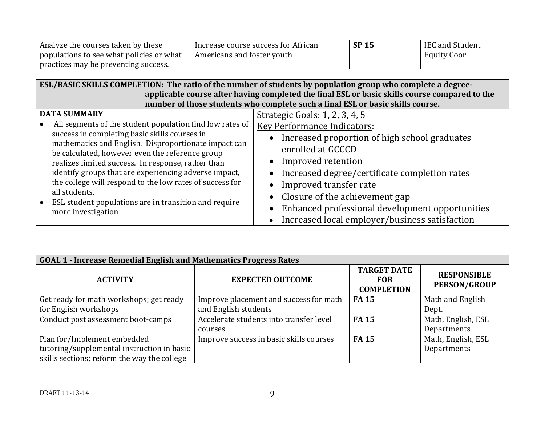| Analyze the courses taken by these       | I Increase course success for African | <b>SP 15</b> | IEC and Student    |
|------------------------------------------|---------------------------------------|--------------|--------------------|
| populations to see what policies or what | Americans and foster youth            |              | <b>Equity Coor</b> |
| practices may be preventing success.     |                                       |              |                    |

| ESL/BASIC SKILLS COMPLETION: The ratio of the number of students by population group who complete a degree- |                                                                                               |  |  |
|-------------------------------------------------------------------------------------------------------------|-----------------------------------------------------------------------------------------------|--|--|
|                                                                                                             | applicable course after having completed the final ESL or basic skills course compared to the |  |  |
|                                                                                                             | number of those students who complete such a final ESL or basic skills course.                |  |  |
| <b>DATA SUMMARY</b>                                                                                         | Strategic Goals: 1, 2, 3, 4, 5                                                                |  |  |
| All segments of the student population find low rates of<br>$\bullet$                                       | <b>Key Performance Indicators:</b>                                                            |  |  |
| success in completing basic skills courses in<br>mathematics and English. Disproportionate impact can       | Increased proportion of high school graduates                                                 |  |  |
| be calculated, however even the reference group                                                             | enrolled at GCCCD                                                                             |  |  |
| realizes limited success. In response, rather than                                                          | Improved retention                                                                            |  |  |
| identify groups that are experiencing adverse impact,                                                       | Increased degree/certificate completion rates                                                 |  |  |
| the college will respond to the low rates of success for<br>all students.                                   | Improved transfer rate                                                                        |  |  |
| • ESL student populations are in transition and require                                                     | Closure of the achievement gap                                                                |  |  |
| more investigation                                                                                          | Enhanced professional development opportunities                                               |  |  |
|                                                                                                             | Increased local employer/business satisfaction                                                |  |  |

| <b>GOAL 1 - Increase Remedial English and Mathematics Progress Rates</b> |                                         |                                                       |                                           |  |
|--------------------------------------------------------------------------|-----------------------------------------|-------------------------------------------------------|-------------------------------------------|--|
| <b>ACTIVITY</b>                                                          | <b>EXPECTED OUTCOME</b>                 | <b>TARGET DATE</b><br><b>FOR</b><br><b>COMPLETION</b> | <b>RESPONSIBLE</b><br><b>PERSON/GROUP</b> |  |
| Get ready for math workshops; get ready                                  | Improve placement and success for math  | <b>FA15</b>                                           | Math and English                          |  |
| for English workshops                                                    | and English students                    |                                                       | Dept.                                     |  |
| Conduct post assessment boot-camps                                       | Accelerate students into transfer level | <b>FA15</b>                                           | Math, English, ESL                        |  |
|                                                                          | courses                                 |                                                       | Departments                               |  |
| Plan for/Implement embedded                                              | Improve success in basic skills courses | <b>FA15</b>                                           | Math, English, ESL                        |  |
| tutoring/supplemental instruction in basic                               |                                         |                                                       | Departments                               |  |
| skills sections; reform the way the college                              |                                         |                                                       |                                           |  |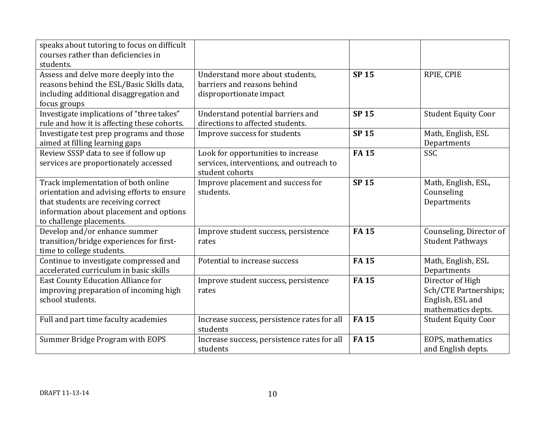| speaks about tutoring to focus on difficult<br>courses rather than deficiencies in<br>students.                                                                                                 |                                                                                                   |             |                                                                                     |
|-------------------------------------------------------------------------------------------------------------------------------------------------------------------------------------------------|---------------------------------------------------------------------------------------------------|-------------|-------------------------------------------------------------------------------------|
| Assess and delve more deeply into the<br>reasons behind the ESL/Basic Skills data,<br>including additional disaggregation and<br>focus groups                                                   | Understand more about students,<br>barriers and reasons behind<br>disproportionate impact         | <b>SP15</b> | RPIE, CPIE                                                                          |
| Investigate implications of "three takes"<br>rule and how it is affecting these cohorts.                                                                                                        | Understand potential barriers and<br>directions to affected students.                             | <b>SP15</b> | <b>Student Equity Coor</b>                                                          |
| Investigate test prep programs and those<br>aimed at filling learning gaps                                                                                                                      | Improve success for students                                                                      | <b>SP15</b> | Math, English, ESL<br>Departments                                                   |
| Review SSSP data to see if follow up<br>services are proportionately accessed                                                                                                                   | Look for opportunities to increase<br>services, interventions, and outreach to<br>student cohorts | <b>FA15</b> | <b>SSC</b>                                                                          |
| Track implementation of both online<br>orientation and advising efforts to ensure<br>that students are receiving correct<br>information about placement and options<br>to challenge placements. | Improve placement and success for<br>students.                                                    | <b>SP15</b> | Math, English, ESL,<br>Counseling<br>Departments                                    |
| Develop and/or enhance summer<br>transition/bridge experiences for first-<br>time to college students.                                                                                          | Improve student success, persistence<br>rates                                                     | <b>FA15</b> | Counseling, Director of<br><b>Student Pathways</b>                                  |
| Continue to investigate compressed and<br>accelerated curriculum in basic skills                                                                                                                | Potential to increase success                                                                     | <b>FA15</b> | Math, English, ESL<br>Departments                                                   |
| East County Education Alliance for<br>improving preparation of incoming high<br>school students.                                                                                                | Improve student success, persistence<br>rates                                                     | <b>FA15</b> | Director of High<br>Sch/CTE Partnerships;<br>English, ESL and<br>mathematics depts. |
| Full and part time faculty academies                                                                                                                                                            | Increase success, persistence rates for all<br>students                                           | <b>FA15</b> | <b>Student Equity Coor</b>                                                          |
| Summer Bridge Program with EOPS                                                                                                                                                                 | Increase success, persistence rates for all<br>students                                           | <b>FA15</b> | EOPS, mathematics<br>and English depts.                                             |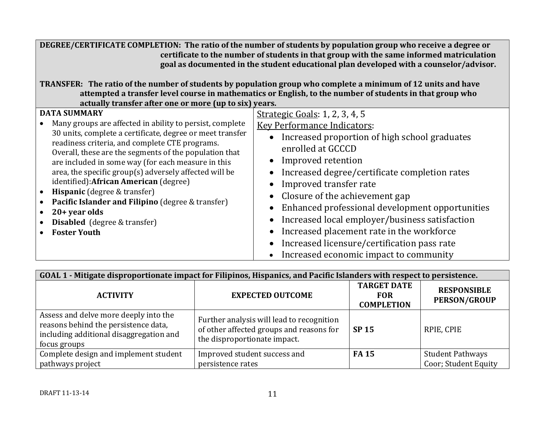| DEGREE/CERTIFICATE COMPLETION: The ratio of the number of students by population group who receive a degree or<br>certificate to the number of students in that group with the same informed matriculation<br>goal as documented in the student educational plan developed with a counselor/advisor.<br>TRANSFER: The ratio of the number of students by population group who complete a minimum of 12 units and have<br>attempted a transfer level course in mathematics or English, to the number of students in that group who<br>actually transfer after one or more (up to six) years.      |                                                                                                                                                                                                                                                                                                                                                                                                                                                                                                                                                                                                                     |  |  |
|--------------------------------------------------------------------------------------------------------------------------------------------------------------------------------------------------------------------------------------------------------------------------------------------------------------------------------------------------------------------------------------------------------------------------------------------------------------------------------------------------------------------------------------------------------------------------------------------------|---------------------------------------------------------------------------------------------------------------------------------------------------------------------------------------------------------------------------------------------------------------------------------------------------------------------------------------------------------------------------------------------------------------------------------------------------------------------------------------------------------------------------------------------------------------------------------------------------------------------|--|--|
| <b>DATA SUMMARY</b><br>Many groups are affected in ability to persist, complete<br>30 units, complete a certificate, degree or meet transfer<br>readiness criteria, and complete CTE programs.<br>Overall, these are the segments of the population that<br>are included in some way (for each measure in this<br>area, the specific group(s) adversely affected will be<br>identified): African American (degree)<br><b>Hispanic</b> (degree & transfer)<br>Pacific Islander and Filipino (degree & transfer)<br>$20 + year$ olds<br><b>Disabled</b> (degree & transfer)<br><b>Foster Youth</b> | Strategic Goals: 1, 2, 3, 4, 5<br><b>Key Performance Indicators:</b><br>Increased proportion of high school graduates<br>enrolled at GCCCD<br>Improved retention<br>Increased degree/certificate completion rates<br>$\bullet$<br>Improved transfer rate<br>$\bullet$<br>Closure of the achievement gap<br>$\bullet$<br>Enhanced professional development opportunities<br>$\bullet$<br>Increased local employer/business satisfaction<br>$\bullet$<br>Increased placement rate in the workforce<br>$\bullet$<br>Increased licensure/certification pass rate<br>$\bullet$<br>Increased economic impact to community |  |  |

| GOAL 1 - Mitigate disproportionate impact for Filipinos, Hispanics, and Pacific Islanders with respect to persistence.                   |                                                                                                                       |                                                       |                                           |  |
|------------------------------------------------------------------------------------------------------------------------------------------|-----------------------------------------------------------------------------------------------------------------------|-------------------------------------------------------|-------------------------------------------|--|
| <b>ACTIVITY</b>                                                                                                                          | <b>EXPECTED OUTCOME</b>                                                                                               | <b>TARGET DATE</b><br><b>FOR</b><br><b>COMPLETION</b> | <b>RESPONSIBLE</b><br><b>PERSON/GROUP</b> |  |
| Assess and delve more deeply into the<br>reasons behind the persistence data,<br>including additional disaggregation and<br>focus groups | Further analysis will lead to recognition<br>of other affected groups and reasons for<br>the disproportionate impact. | <b>SP 15</b>                                          | RPIE, CPIE                                |  |
| Complete design and implement student                                                                                                    | Improved student success and                                                                                          | <b>FA15</b>                                           | <b>Student Pathways</b>                   |  |
| pathways project                                                                                                                         | persistence rates                                                                                                     |                                                       | Coor; Student Equity                      |  |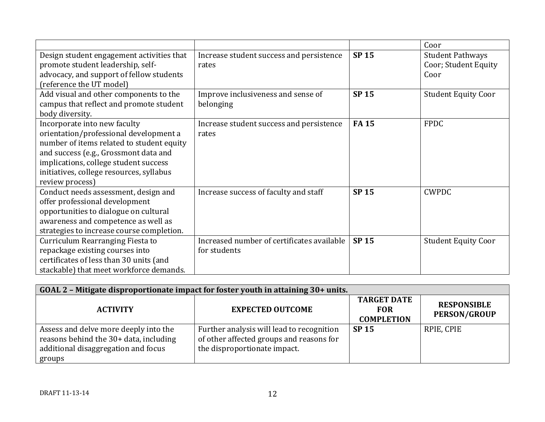|                                           |                                            |              | Coor                       |
|-------------------------------------------|--------------------------------------------|--------------|----------------------------|
| Design student engagement activities that | Increase student success and persistence   | <b>SP15</b>  | <b>Student Pathways</b>    |
| promote student leadership, self-         | rates                                      |              | Coor; Student Equity       |
| advocacy, and support of fellow students  |                                            |              | Coor                       |
| (reference the UT model)                  |                                            |              |                            |
| Add visual and other components to the    | Improve inclusiveness and sense of         | <b>SP15</b>  | <b>Student Equity Coor</b> |
| campus that reflect and promote student   | belonging                                  |              |                            |
| body diversity.                           |                                            |              |                            |
| Incorporate into new faculty              | Increase student success and persistence   | <b>FA15</b>  | <b>FPDC</b>                |
| orientation/professional development a    | rates                                      |              |                            |
| number of items related to student equity |                                            |              |                            |
| and success (e.g., Grossmont data and     |                                            |              |                            |
| implications, college student success     |                                            |              |                            |
| initiatives, college resources, syllabus  |                                            |              |                            |
| review process)                           |                                            |              |                            |
| Conduct needs assessment, design and      | Increase success of faculty and staff      | <b>SP 15</b> | <b>CWPDC</b>               |
| offer professional development            |                                            |              |                            |
| opportunities to dialogue on cultural     |                                            |              |                            |
| awareness and competence as well as       |                                            |              |                            |
| strategies to increase course completion. |                                            |              |                            |
| Curriculum Rearranging Fiesta to          | Increased number of certificates available | <b>SP 15</b> | <b>Student Equity Coor</b> |
| repackage existing courses into           | for students                               |              |                            |
| certificates of less than 30 units (and   |                                            |              |                            |
| stackable) that meet workforce demands.   |                                            |              |                            |

| GOAL 2 - Mitigate disproportionate impact for foster youth in attaining 30+ units.                                               |                                                                                                                       |                                                       |                                           |
|----------------------------------------------------------------------------------------------------------------------------------|-----------------------------------------------------------------------------------------------------------------------|-------------------------------------------------------|-------------------------------------------|
| <b>ACTIVITY</b>                                                                                                                  | <b>EXPECTED OUTCOME</b>                                                                                               | <b>TARGET DATE</b><br><b>FOR</b><br><b>COMPLETION</b> | <b>RESPONSIBLE</b><br><b>PERSON/GROUP</b> |
| Assess and delve more deeply into the<br>reasons behind the 30+ data, including<br>additional disaggregation and focus<br>groups | Further analysis will lead to recognition<br>of other affected groups and reasons for<br>the disproportionate impact. | <b>SP 15</b>                                          | RPIE, CPIE                                |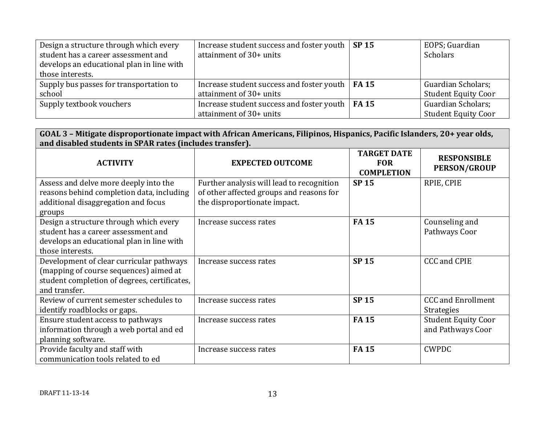| Design a structure through which every    | Increase student success and foster youth $\vert$ SP 15        | EOPS; Guardian             |
|-------------------------------------------|----------------------------------------------------------------|----------------------------|
| student has a career assessment and       | attainment of 30+ units                                        | <b>Scholars</b>            |
| develops an educational plan in line with |                                                                |                            |
| those interests.                          |                                                                |                            |
| Supply bus passes for transportation to   | Increase student success and foster youth $\mid$ <b>FA 15</b>  | Guardian Scholars;         |
| school                                    | attainment of 30+ units                                        | <b>Student Equity Coor</b> |
| Supply textbook vouchers                  | Increase student success and foster youth $\vert$ <b>FA 15</b> | Guardian Scholars;         |
|                                           | attainment of 30+ units                                        | <b>Student Equity Coor</b> |

| GOAL 3 – Mitigate disproportionate impact with African Americans, Filipinos, Hispanics, Pacific Islanders, 20+ year olds, |  |  |
|---------------------------------------------------------------------------------------------------------------------------|--|--|
| and disabled students in SPAR rates (includes transfer).                                                                  |  |  |

| <b>ACTIVITY</b>                                                                                                                                     | <b>EXPECTED OUTCOME</b>                                                                                               | <b>TARGET DATE</b><br><b>FOR</b><br><b>COMPLETION</b> | <b>RESPONSIBLE</b><br><b>PERSON/GROUP</b>       |
|-----------------------------------------------------------------------------------------------------------------------------------------------------|-----------------------------------------------------------------------------------------------------------------------|-------------------------------------------------------|-------------------------------------------------|
| Assess and delve more deeply into the<br>reasons behind completion data, including<br>additional disaggregation and focus<br>groups                 | Further analysis will lead to recognition<br>of other affected groups and reasons for<br>the disproportionate impact. | <b>SP 15</b>                                          | RPIE, CPIE                                      |
| Design a structure through which every<br>student has a career assessment and<br>develops an educational plan in line with<br>those interests.      | Increase success rates                                                                                                | <b>FA15</b>                                           | Counseling and<br>Pathways Coor                 |
| Development of clear curricular pathways<br>(mapping of course sequences) aimed at<br>student completion of degrees, certificates,<br>and transfer. | Increase success rates                                                                                                | <b>SP15</b>                                           | <b>CCC and CPIE</b>                             |
| Review of current semester schedules to<br>identify roadblocks or gaps.                                                                             | Increase success rates                                                                                                | <b>SP15</b>                                           | <b>CCC</b> and Enrollment<br><b>Strategies</b>  |
| Ensure student access to pathways<br>information through a web portal and ed<br>planning software.                                                  | Increase success rates                                                                                                | <b>FA15</b>                                           | <b>Student Equity Coor</b><br>and Pathways Coor |
| Provide faculty and staff with<br>communication tools related to ed                                                                                 | Increase success rates                                                                                                | <b>FA15</b>                                           | <b>CWPDC</b>                                    |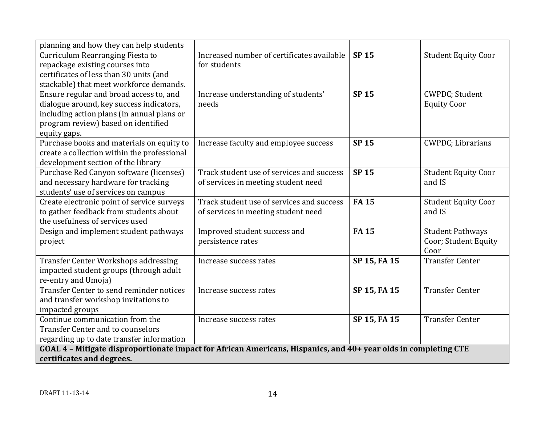| planning and how they can help students                                                                         |                                            |              |                                      |
|-----------------------------------------------------------------------------------------------------------------|--------------------------------------------|--------------|--------------------------------------|
| Curriculum Rearranging Fiesta to                                                                                | Increased number of certificates available | <b>SP15</b>  | <b>Student Equity Coor</b>           |
| repackage existing courses into                                                                                 | for students                               |              |                                      |
| certificates of less than 30 units (and                                                                         |                                            |              |                                      |
| stackable) that meet workforce demands.                                                                         |                                            |              |                                      |
| Ensure regular and broad access to, and                                                                         | Increase understanding of students'        | <b>SP15</b>  | CWPDC; Student                       |
| dialogue around, key success indicators,                                                                        | needs                                      |              | <b>Equity Coor</b>                   |
| including action plans (in annual plans or                                                                      |                                            |              |                                      |
| program review) based on identified                                                                             |                                            |              |                                      |
| equity gaps.                                                                                                    |                                            |              |                                      |
| Purchase books and materials on equity to                                                                       | Increase faculty and employee success      | <b>SP 15</b> | <b>CWPDC</b> ; Librarians            |
| create a collection within the professional                                                                     |                                            |              |                                      |
| development section of the library                                                                              |                                            |              |                                      |
| Purchase Red Canyon software (licenses)                                                                         | Track student use of services and success  | <b>SP15</b>  | <b>Student Equity Coor</b>           |
| and necessary hardware for tracking                                                                             | of services in meeting student need        |              | and IS                               |
| students' use of services on campus                                                                             | Track student use of services and success  | <b>FA15</b>  |                                      |
| Create electronic point of service surveys                                                                      | of services in meeting student need        |              | <b>Student Equity Coor</b><br>and IS |
| to gather feedback from students about<br>the usefulness of services used                                       |                                            |              |                                      |
| Design and implement student pathways                                                                           | Improved student success and               | <b>FA15</b>  | <b>Student Pathways</b>              |
| project                                                                                                         | persistence rates                          |              | Coor; Student Equity                 |
|                                                                                                                 |                                            |              | Coor                                 |
| Transfer Center Workshops addressing                                                                            | Increase success rates                     | SP 15, FA 15 | <b>Transfer Center</b>               |
| impacted student groups (through adult                                                                          |                                            |              |                                      |
| re-entry and Umoja)                                                                                             |                                            |              |                                      |
| Transfer Center to send reminder notices                                                                        | Increase success rates                     | SP 15, FA 15 | <b>Transfer Center</b>               |
| and transfer workshop invitations to                                                                            |                                            |              |                                      |
| impacted groups                                                                                                 |                                            |              |                                      |
| Continue communication from the                                                                                 | Increase success rates                     | SP 15, FA 15 | <b>Transfer Center</b>               |
| <b>Transfer Center and to counselors</b>                                                                        |                                            |              |                                      |
| regarding up to date transfer information                                                                       |                                            |              |                                      |
| GOAL 4 - Mitigate disproportionate impact for African Americans, Hispanics, and 40+ year olds in completing CTE |                                            |              |                                      |
| certificates and degrees.                                                                                       |                                            |              |                                      |